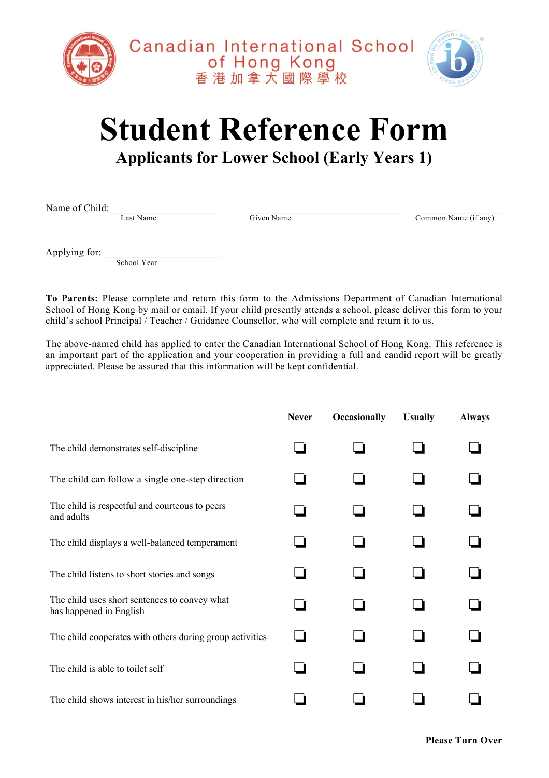



## **Student Reference Form**

## **Applicants for Lower School (Early Years 1)**

Name of Child:  $\frac{L_{\text{ast Name}}}{L_{\text{ast Name}}}$   $\frac{G}{\text{Given Name}}$ 

Common Name (if any)

Applying for: \_\_\_\_\_\_\_\_\_\_\_\_\_\_\_\_\_\_\_\_\_\_\_

School Year

**To Parents:** Please complete and return this form to the Admissions Department of Canadian International School of Hong Kong by mail or email. If your child presently attends a school, please deliver this form to your child's school Principal / Teacher / Guidance Counsellor, who will complete and return it to us.

The above-named child has applied to enter the Canadian International School of Hong Kong. This reference is an important part of the application and your cooperation in providing a full and candid report will be greatly appreciated. Please be assured that this information will be kept confidential.

|                                                                          | <b>Never</b> | <b>Occasionally</b> | <b>Usually</b> | <b>Always</b> |
|--------------------------------------------------------------------------|--------------|---------------------|----------------|---------------|
| The child demonstrates self-discipline                                   |              |                     |                |               |
| The child can follow a single one-step direction                         |              |                     |                |               |
| The child is respectful and courteous to peers<br>and adults             |              |                     |                |               |
| The child displays a well-balanced temperament                           |              |                     |                |               |
| The child listens to short stories and songs                             |              |                     |                |               |
| The child uses short sentences to convey what<br>has happened in English |              |                     |                |               |
| The child cooperates with others during group activities                 |              |                     |                |               |
| The child is able to toilet self                                         |              |                     |                |               |
| The child shows interest in his/her surroundings                         |              |                     |                |               |